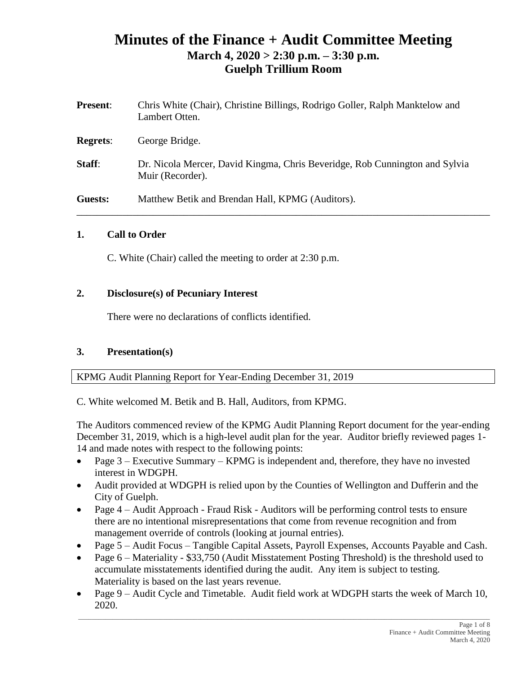# **Minutes of the Finance + Audit Committee Meeting March 4, 2020 > 2:30 p.m. – 3:30 p.m. Guelph Trillium Room**

| <b>Present:</b> | Chris White (Chair), Christine Billings, Rodrigo Goller, Ralph Manktelow and<br>Lambert Otten.  |
|-----------------|-------------------------------------------------------------------------------------------------|
| <b>Regrets:</b> | George Bridge.                                                                                  |
| Staff:          | Dr. Nicola Mercer, David Kingma, Chris Beveridge, Rob Cunnington and Sylvia<br>Muir (Recorder). |
| Guests:         | Matthew Betik and Brendan Hall, KPMG (Auditors).                                                |

### **1. Call to Order**

C. White (Chair) called the meeting to order at 2:30 p.m.

#### **2. Disclosure(s) of Pecuniary Interest**

There were no declarations of conflicts identified.

### **3. Presentation(s)**

KPMG Audit Planning Report for Year-Ending December 31, 2019

C. White welcomed M. Betik and B. Hall, Auditors, from KPMG.

The Auditors commenced review of the KPMG Audit Planning Report document for the year-ending December 31, 2019, which is a high-level audit plan for the year. Auditor briefly reviewed pages 1- 14 and made notes with respect to the following points:

- Page 3 Executive Summary KPMG is independent and, therefore, they have no invested interest in WDGPH.
- Audit provided at WDGPH is relied upon by the Counties of Wellington and Dufferin and the City of Guelph.
- Page 4 Audit Approach Fraud Risk Auditors will be performing control tests to ensure there are no intentional misrepresentations that come from revenue recognition and from management override of controls (looking at journal entries).
- Page 5 Audit Focus Tangible Capital Assets, Payroll Expenses, Accounts Payable and Cash.
- Page 6 Materiality \$33,750 (Audit Misstatement Posting Threshold) is the threshold used to accumulate misstatements identified during the audit. Any item is subject to testing. Materiality is based on the last years revenue.
- Page 9 Audit Cycle and Timetable. Audit field work at WDGPH starts the week of March 10, 2020.

 $\_$  ,  $\_$  ,  $\_$  ,  $\_$  ,  $\_$  ,  $\_$  ,  $\_$  ,  $\_$  ,  $\_$  ,  $\_$  ,  $\_$  ,  $\_$  ,  $\_$  ,  $\_$  ,  $\_$  ,  $\_$  ,  $\_$  ,  $\_$  ,  $\_$  ,  $\_$  ,  $\_$  ,  $\_$  ,  $\_$  ,  $\_$  ,  $\_$  ,  $\_$  ,  $\_$  ,  $\_$  ,  $\_$  ,  $\_$  ,  $\_$  ,  $\_$  ,  $\_$  ,  $\_$  ,  $\_$  ,  $\_$  ,  $\_$  ,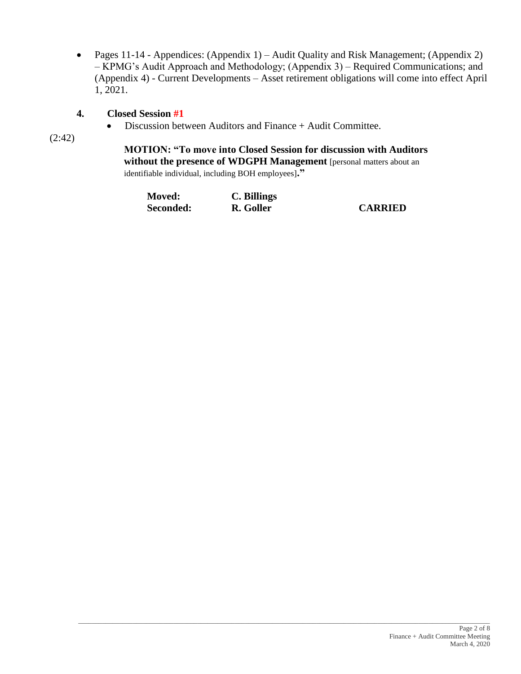• Pages 11-14 - Appendices: (Appendix 1) – Audit Quality and Risk Management; (Appendix 2) – KPMG's Audit Approach and Methodology; (Appendix 3) – Required Communications; and (Appendix 4) - Current Developments – Asset retirement obligations will come into effect April 1, 2021.

### **4. Closed Session #1**

• Discussion between Auditors and Finance + Audit Committee.

(2:42)

**MOTION: "To move into Closed Session for discussion with Auditors without the presence of WDGPH Management** [personal matters about an identifiable individual, including BOH employees]**."**

| <b>Moved:</b> | C. Billings |                |
|---------------|-------------|----------------|
| Seconded:     | R. Goller   | <b>CARRIED</b> |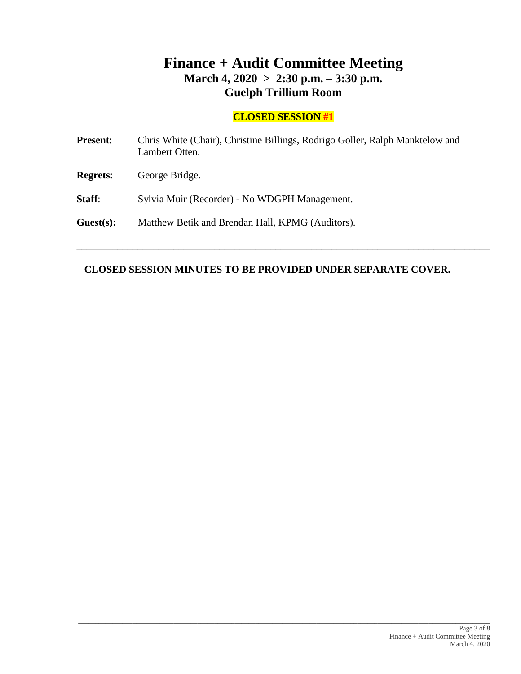# **Finance + Audit Committee Meeting March 4, 2020 > 2:30 p.m. – 3:30 p.m. Guelph Trillium Room**

# **CLOSED SESSION #1**

| <b>Present:</b> | Chris White (Chair), Christine Billings, Rodrigo Goller, Ralph Manktelow and<br>Lambert Otten. |
|-----------------|------------------------------------------------------------------------------------------------|
| <b>Regrets:</b> | George Bridge.                                                                                 |
| Staff:          | Sylvia Muir (Recorder) - No WDGPH Management.                                                  |
| Guest(s):       | Matthew Betik and Brendan Hall, KPMG (Auditors).                                               |
|                 |                                                                                                |

## **CLOSED SESSION MINUTES TO BE PROVIDED UNDER SEPARATE COVER.**

\_\_\_\_\_\_\_\_\_\_\_\_\_\_\_\_\_\_\_\_\_\_\_\_\_\_\_\_\_\_\_\_\_\_\_\_\_\_\_\_\_\_\_\_\_\_\_\_\_\_\_\_\_\_\_\_\_\_\_\_\_\_\_\_\_\_\_\_\_\_\_\_\_\_\_\_\_\_\_\_\_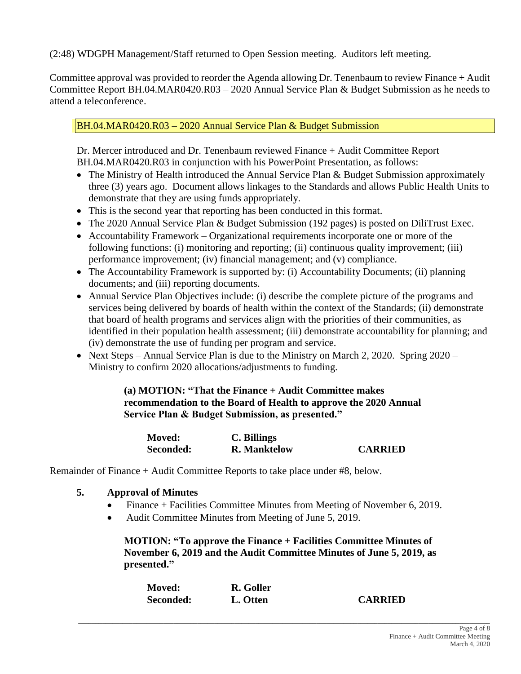(2:48) WDGPH Management/Staff returned to Open Session meeting. Auditors left meeting.

Committee approval was provided to reorder the Agenda allowing Dr. Tenenbaum to review Finance + Audit Committee Report BH.04.MAR0420.R03 – 2020 Annual Service Plan & Budget Submission as he needs to attend a teleconference.

BH.04.MAR0420.R03 – 2020 Annual Service Plan & Budget Submission

Dr. Mercer introduced and Dr. Tenenbaum reviewed Finance + Audit Committee Report BH.04.MAR0420.R03 in conjunction with his PowerPoint Presentation, as follows:

- The Ministry of Health introduced the Annual Service Plan & Budget Submission approximately three (3) years ago. Document allows linkages to the Standards and allows Public Health Units to demonstrate that they are using funds appropriately.
- This is the second year that reporting has been conducted in this format.
- The 2020 Annual Service Plan & Budget Submission (192 pages) is posted on DiliTrust Exec.
- Accountability Framework Organizational requirements incorporate one or more of the following functions: (i) monitoring and reporting; (ii) continuous quality improvement; (iii) performance improvement; (iv) financial management; and (v) compliance.
- The Accountability Framework is supported by: (i) Accountability Documents; (ii) planning documents; and (iii) reporting documents.
- Annual Service Plan Objectives include: (i) describe the complete picture of the programs and services being delivered by boards of health within the context of the Standards; (ii) demonstrate that board of health programs and services align with the priorities of their communities, as identified in their population health assessment; (iii) demonstrate accountability for planning; and (iv) demonstrate the use of funding per program and service.
- Next Steps Annual Service Plan is due to the Ministry on March 2, 2020. Spring 2020 Ministry to confirm 2020 allocations/adjustments to funding.

**(a) MOTION: "That the Finance + Audit Committee makes recommendation to the Board of Health to approve the 2020 Annual Service Plan & Budget Submission, as presented."**

| <b>Moved:</b> | C. Billings         |                |
|---------------|---------------------|----------------|
| Seconded:     | <b>R.</b> Manktelow | <b>CARRIED</b> |

Remainder of Finance + Audit Committee Reports to take place under #8, below.

- **5. Approval of Minutes**
	- Finance + Facilities Committee Minutes from Meeting of November 6, 2019.
	- Audit Committee Minutes from Meeting of June 5, 2019.

**MOTION: "To approve the Finance + Facilities Committee Minutes of November 6, 2019 and the Audit Committee Minutes of June 5, 2019, as presented."**

| <b>Moved:</b> | R. Goller |                |
|---------------|-----------|----------------|
| Seconded:     | L. Otten  | <b>CARRIED</b> |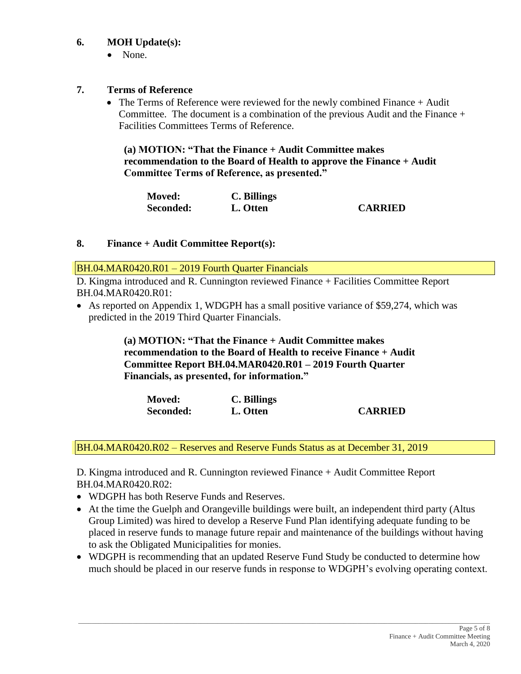## **6. MOH Update(s):**

• None.

### **7. Terms of Reference**

• The Terms of Reference were reviewed for the newly combined Finance + Audit Committee. The document is a combination of the previous Audit and the Finance  $+$ Facilities Committees Terms of Reference.

**(a) MOTION: "That the Finance + Audit Committee makes recommendation to the Board of Health to approve the Finance + Audit Committee Terms of Reference, as presented."**

| <b>Moved:</b> | C. Billings |                |
|---------------|-------------|----------------|
| Seconded:     | L. Otten    | <b>CARRIED</b> |

#### **8. Finance + Audit Committee Report(s):**

BH.04.MAR0420.R01 – 2019 Fourth Quarter Financials

D. Kingma introduced and R. Cunnington reviewed Finance + Facilities Committee Report BH.04.MAR0420.R01:

• As reported on Appendix 1, WDGPH has a small positive variance of \$59,274, which was predicted in the 2019 Third Quarter Financials.

> **(a) MOTION: "That the Finance + Audit Committee makes recommendation to the Board of Health to receive Finance + Audit Committee Report BH.04.MAR0420.R01 – 2019 Fourth Quarter Financials, as presented, for information."**

| <b>Moved:</b> | C. Billings |                |
|---------------|-------------|----------------|
| Seconded:     | L. Otten    | <b>CARRIED</b> |

BH.04.MAR0420.R02 – Reserves and Reserve Funds Status as at December 31, 2019

D. Kingma introduced and R. Cunnington reviewed Finance + Audit Committee Report BH.04.MAR0420.R02:

- WDGPH has both Reserve Funds and Reserves.
- At the time the Guelph and Orangeville buildings were built, an independent third party (Altus Group Limited) was hired to develop a Reserve Fund Plan identifying adequate funding to be placed in reserve funds to manage future repair and maintenance of the buildings without having to ask the Obligated Municipalities for monies.
- WDGPH is recommending that an updated Reserve Fund Study be conducted to determine how much should be placed in our reserve funds in response to WDGPH's evolving operating context.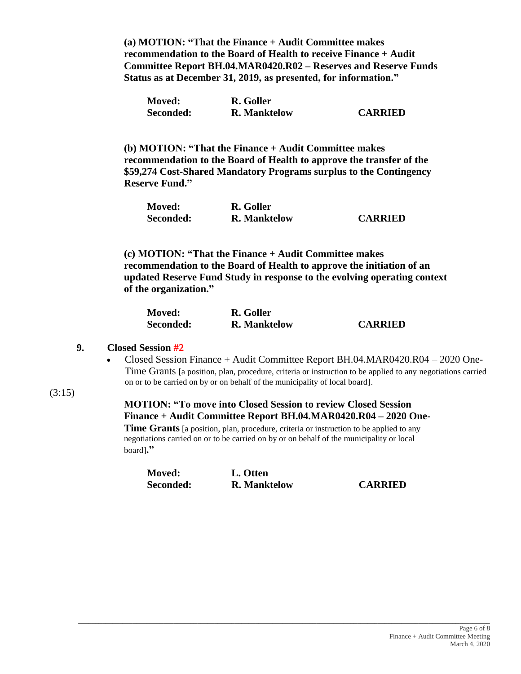**(a) MOTION: "That the Finance + Audit Committee makes recommendation to the Board of Health to receive Finance + Audit Committee Report BH.04.MAR0420.R02 – Reserves and Reserve Funds Status as at December 31, 2019, as presented, for information."**

| <b>Moved:</b> | R. Goller           |                |
|---------------|---------------------|----------------|
| Seconded:     | <b>R.</b> Manktelow | <b>CARRIED</b> |

**(b) MOTION: "That the Finance + Audit Committee makes recommendation to the Board of Health to approve the transfer of the \$59,274 Cost-Shared Mandatory Programs surplus to the Contingency Reserve Fund."**

| <b>Moved:</b> | R. Goller           |                |
|---------------|---------------------|----------------|
| Seconded:     | <b>R.</b> Manktelow | <b>CARRIED</b> |

**(c) MOTION: "That the Finance + Audit Committee makes recommendation to the Board of Health to approve the initiation of an updated Reserve Fund Study in response to the evolving operating context of the organization."**

| <b>Moved:</b> | R. Goller           |                |
|---------------|---------------------|----------------|
| Seconded:     | <b>R.</b> Manktelow | <b>CARRIED</b> |

#### **9. Closed Session #2**

- Closed Session Finance + Audit Committee Report BH.04.MAR0420.R04 2020 One-Time Grants [a position, plan, procedure, criteria or instruction to be applied to any negotiations carried on or to be carried on by or on behalf of the municipality of local board].
- (3:15)

### **MOTION: "To move into Closed Session to review Closed Session Finance + Audit Committee Report BH.04.MAR0420.R04 – 2020 One-**

**Time Grants** [a position, plan, procedure, criteria or instruction to be applied to any negotiations carried on or to be carried on by or on behalf of the municipality or local board]**."**

\_\_\_\_\_\_\_\_\_\_\_\_\_\_\_\_\_\_\_\_\_\_\_\_\_\_\_\_\_\_\_\_\_\_\_\_\_\_\_\_\_\_\_\_\_\_\_\_\_\_\_\_\_\_\_\_\_\_\_\_\_\_\_\_\_\_\_\_\_\_\_\_\_\_\_\_\_\_\_\_\_\_\_\_\_\_\_\_\_\_\_\_\_\_\_\_\_\_\_\_\_\_\_\_\_\_\_\_\_\_\_\_\_\_\_\_\_\_\_\_\_

| <b>Moved:</b> | L. Otten            |
|---------------|---------------------|
| Seconded:     | <b>R.</b> Manktelow |

 $CARRIED$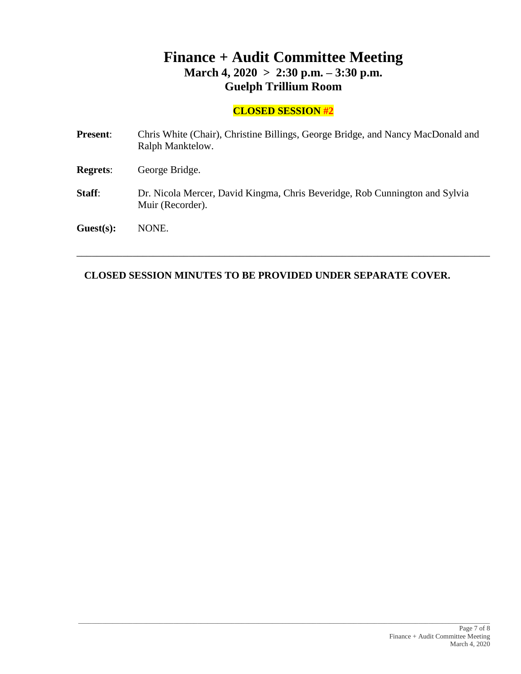# **Finance + Audit Committee Meeting March 4, 2020 > 2:30 p.m. – 3:30 p.m. Guelph Trillium Room**

# **CLOSED SESSION #2**

| <b>Present:</b> | Chris White (Chair), Christine Billings, George Bridge, and Nancy MacDonald and<br>Ralph Manktelow. |
|-----------------|-----------------------------------------------------------------------------------------------------|
| <b>Regrets:</b> | George Bridge.                                                                                      |
| Staff:          | Dr. Nicola Mercer, David Kingma, Chris Beveridge, Rob Cunnington and Sylvia<br>Muir (Recorder).     |
| Guest(s):       | NONE.                                                                                               |

\_\_\_\_\_\_\_\_\_\_\_\_\_\_\_\_\_\_\_\_\_\_\_\_\_\_\_\_\_\_\_\_\_\_\_\_\_\_\_\_\_\_\_\_\_\_\_\_\_\_\_\_\_\_\_\_\_\_\_\_\_\_\_\_\_\_\_\_\_\_\_\_\_\_\_\_\_\_\_\_\_

## **CLOSED SESSION MINUTES TO BE PROVIDED UNDER SEPARATE COVER.**